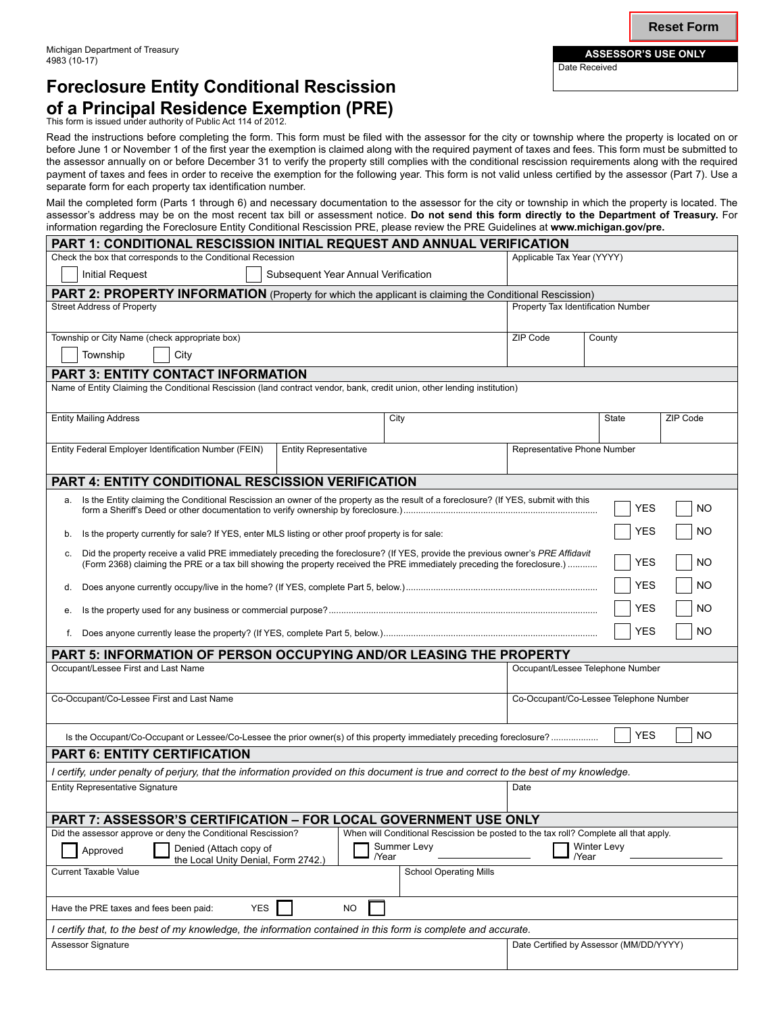# **Foreclosure Entity Conditional Rescission of a Principal Residence Exemption (PRE)**

This form is issued under authority of Public Act 114 of 2012.

Read the instructions before completing the form. This form must be filed with the assessor for the city or township where the property is located on or before June 1 or November 1 of the first year the exemption is claimed along with the required payment of taxes and fees. This form must be submitted to the assessor annually on or before December 31 to verify the property still complies with the conditional rescission requirements along with the required payment of taxes and fees in order to receive the exemption for the following year. This form is not valid unless certified by the assessor (Part 7). Use a separate form for each property tax identification number.

Mail the completed form (Parts 1 through 6) and necessary documentation to the assessor for the city or township in which the property is located. The assessor's address may be on the most recent tax bill or assessment notice. **Do not send this form directly to the Department of Treasury.** For information regarding the Foreclosure Entity Conditional Rescission PRE, please review the PRE Guidelines at **www.michigan.gov/pre.**

| PART 1: CONDITIONAL RESCISSION INITIAL REQUEST AND ANNUAL VERIFICATION                                                                                                                                                                                            |                                     |             |                                         |            |          |  |
|-------------------------------------------------------------------------------------------------------------------------------------------------------------------------------------------------------------------------------------------------------------------|-------------------------------------|-------------|-----------------------------------------|------------|----------|--|
| Check the box that corresponds to the Conditional Recession                                                                                                                                                                                                       |                                     |             | Applicable Tax Year (YYYY)              |            |          |  |
| <b>Initial Request</b>                                                                                                                                                                                                                                            | Subsequent Year Annual Verification |             |                                         |            |          |  |
| PART 2: PROPERTY INFORMATION (Property for which the applicant is claiming the Conditional Rescission)                                                                                                                                                            |                                     |             |                                         |            |          |  |
| <b>Street Address of Property</b>                                                                                                                                                                                                                                 |                                     |             | Property Tax Identification Number      |            |          |  |
| Township or City Name (check appropriate box)                                                                                                                                                                                                                     |                                     |             | ZIP Code                                | County     |          |  |
| Township<br>City                                                                                                                                                                                                                                                  |                                     |             |                                         |            |          |  |
| <b>PART 3: ENTITY CONTACT INFORMATION</b>                                                                                                                                                                                                                         |                                     |             |                                         |            |          |  |
| Name of Entity Claiming the Conditional Rescission (land contract vendor, bank, credit union, other lending institution)                                                                                                                                          |                                     |             |                                         |            |          |  |
| <b>Entity Mailing Address</b>                                                                                                                                                                                                                                     |                                     | City        |                                         | State      | ZIP Code |  |
| Entity Federal Employer Identification Number (FEIN)                                                                                                                                                                                                              | <b>Entity Representative</b>        |             | Representative Phone Number             |            |          |  |
| <b>PART 4: ENTITY CONDITIONAL RESCISSION VERIFICATION</b>                                                                                                                                                                                                         |                                     |             |                                         |            |          |  |
| a. Is the Entity claiming the Conditional Rescission an owner of the property as the result of a foreclosure? (If YES, submit with this<br>NO<br>YES                                                                                                              |                                     |             |                                         |            |          |  |
| Is the property currently for sale? If YES, enter MLS listing or other proof property is for sale:<br>b.                                                                                                                                                          |                                     |             |                                         | YES        | ΝO       |  |
| Did the property receive a valid PRE immediately preceding the foreclosure? (If YES, provide the previous owner's PRE Affidavit<br>c.<br>(Form 2368) claiming the PRE or a tax bill showing the property received the PRE immediately preceding the foreclosure.) |                                     |             |                                         | <b>YES</b> | NO       |  |
| d.                                                                                                                                                                                                                                                                |                                     |             |                                         | YES        | ΝO       |  |
| е.                                                                                                                                                                                                                                                                |                                     |             | <b>YES</b>                              | NΟ         |          |  |
| <b>YES</b><br>NO<br>f.                                                                                                                                                                                                                                            |                                     |             |                                         |            |          |  |
| PART 5: INFORMATION OF PERSON OCCUPYING AND/OR LEASING THE PROPERTY                                                                                                                                                                                               |                                     |             |                                         |            |          |  |
| Occupant/Lessee First and Last Name                                                                                                                                                                                                                               |                                     |             | Occupant/Lessee Telephone Number        |            |          |  |
| Co-Occupant/Co-Lessee First and Last Name                                                                                                                                                                                                                         |                                     |             | Co-Occupant/Co-Lessee Telephone Number  |            |          |  |
| Is the Occupant/Co-Occupant or Lessee/Co-Lessee the prior owner(s) of this property immediately preceding foreclosure?                                                                                                                                            |                                     |             |                                         | <b>YES</b> | NO       |  |
| <b>PART 6: ENTITY CERTIFICATION</b>                                                                                                                                                                                                                               |                                     |             |                                         |            |          |  |
| I certify, under penalty of perjury, that the information provided on this document is true and correct to the best of my knowledge.                                                                                                                              |                                     |             |                                         |            |          |  |
| <b>Entity Representative Signature</b>                                                                                                                                                                                                                            |                                     |             | Date                                    |            |          |  |
| PART 7: ASSESSOR'S CERTIFICATION - FOR LOCAL GOVERNMENT USE ONLY                                                                                                                                                                                                  |                                     |             |                                         |            |          |  |
| Did the assessor approve or deny the Conditional Rescission?<br>When will Conditional Rescission be posted to the tax roll? Complete all that apply.                                                                                                              |                                     |             |                                         |            |          |  |
| Denied (Attach copy of<br>Approved<br>/Year<br>the Local Unity Denial, Form 2742.)                                                                                                                                                                                |                                     | Summer Levy | <b>Winter Levy</b><br>/Year             |            |          |  |
| <b>Current Taxable Value</b><br><b>School Operating Mills</b>                                                                                                                                                                                                     |                                     |             |                                         |            |          |  |
| <b>YES</b><br><b>NO</b><br>Have the PRE taxes and fees been paid:                                                                                                                                                                                                 |                                     |             |                                         |            |          |  |
| I certify that, to the best of my knowledge, the information contained in this form is complete and accurate.                                                                                                                                                     |                                     |             |                                         |            |          |  |
| Assessor Signature                                                                                                                                                                                                                                                |                                     |             | Date Certified by Assessor (MM/DD/YYYY) |            |          |  |

Date Received